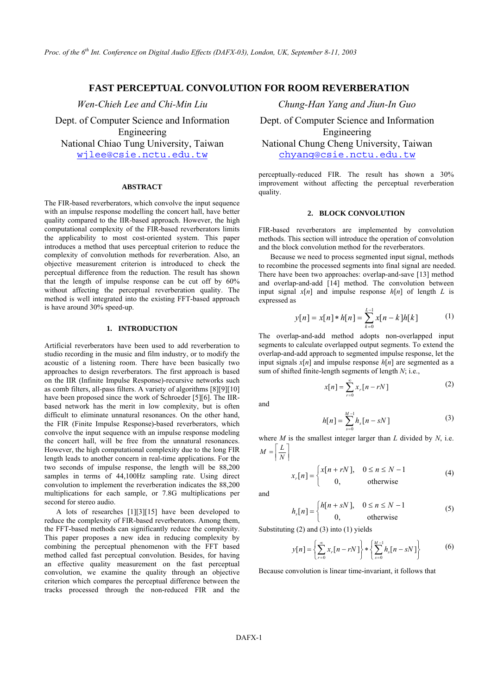# **FAST PERCEPTUAL CONVOLUTION FOR ROOM REVERBERATION**

Dept. of Computer Science and Information Engineering

### **ABSTRACT**

The FIR-based reverberators, which convolve the input sequence with an impulse response modelling the concert hall, have better quality compared to the IIR-based approach. However, the high computational complexity of the FIR-based reverberators limits the applicability to most cost-oriented system. This paper introduces a method that uses perceptual criterion to reduce the complexity of convolution methods for reverberation. Also, an objective measurement criterion is introduced to check the perceptual difference from the reduction. The result has shown that the length of impulse response can be cut off by 60% without affecting the perceptual reverberation quality. The method is well integrated into the existing FFT-based approach is have around 30% speed-up.

## **1. INTRODUCTION**

Artificial reverberators have been used to add reverberation to studio recording in the music and film industry, or to modify the acoustic of a listening room. There have been basically two approaches to design reverberators. The first approach is based on the IIR (Infinite Impulse Response)-recursive networks such as comb filters, all-pass filters. A variety of algorithms [8][9][10] have been proposed since the work of Schroeder [5][6]. The IIRbased network has the merit in low complexity, but is often difficult to eliminate unnatural resonances. On the other hand, the FIR (Finite Impulse Response)-based reverberators, which convolve the input sequence with an impulse response modeling the concert hall, will be free from the unnatural resonances. However, the high computational complexity due to the long FIR length leads to another concern in real-time applications. For the two seconds of impulse response, the length will be 88,200 samples in terms of 44,100Hz sampling rate. Using direct convolution to implement the reverberation indicates the 88,200 multiplications for each sample, or 7.8G multiplications per second for stereo audio.

A lots of researches [1][3][15] have been developed to reduce the complexity of FIR-based reverberators. Among them, the FFT-based methods can significantly reduce the complexity. This paper proposes a new idea in reducing complexity by combining the perceptual phenomenon with the FFT based method called fast perceptual convolution. Besides, for having an effective quality measurement on the fast perceptual convolution, we examine the quality through an objective criterion which compares the perceptual difference between the tracks processed through the non-reduced FIR and the

*Wen-Chieh Lee and Chi-Min Liu Chung-Han Yang and Jiun-In Guo* 

Dept. of Computer Science and Information Engineering National Chiao Tung University, Taiwan National Chung Cheng University, Taiwan wjlee@csie.nctu.edu.tw chyang@csie.nctu.edu.tw

> perceptually-reduced FIR. The result has shown a 30% improvement without affecting the perceptual reverberation quality.

## **2. BLOCK CONVOLUTION**

FIR-based reverberators are implemented by convolution methods. This section will introduce the operation of convolution and the block convolution method for the reverberators.

Because we need to process segmented input signal, methods to recombine the processed segments into final signal are needed. There have been two approaches: overlap-and-save [13] method and overlap-and-add [14] method. The convolution between input signal  $x[n]$  and impulse response  $h[n]$  of length *L* is expressed as

$$
y[n] = x[n] * h[n] = \sum_{k=0}^{L-1} x[n-k]h[k]
$$
 (1)

The overlap-and-add method adopts non-overlapped input segments to calculate overlapped output segments. To extend the overlap-and-add approach to segmented impulse response, let the input signals  $x[n]$  and impulse response  $h[n]$  are segmented as a sum of shifted finite-length segments of length *N*; i.e.,

$$
x[n] = \sum_{r=0}^{\infty} x_r[n - rN]
$$
 (2)

and

$$
h[n] = \sum_{s=0}^{M-1} h_s[n - sN] \tag{3}
$$

where *M* is the smallest integer larger than *L* divided by *N*, i.e.  $M = \left| \frac{L}{N} \right|$ 

$$
x_r[n] = \begin{cases} x[n + rN], & 0 \le n \le N - 1 \\ 0, & \text{otherwise} \end{cases}
$$
 (4)

and

$$
h_s[n] = \begin{cases} h[n+ sN], & 0 \le n \le N-1 \\ 0, & \text{otherwise} \end{cases}
$$
 (5)

Substituting (2) and (3) into (1) yields

$$
y[n] = \left\{ \sum_{r=0}^{\infty} x_r[n - rN] \right\} * \left\{ \sum_{s=0}^{M-1} h_s[n - sN] \right\}
$$
 (6)

Because convolution is linear time-invariant, it follows that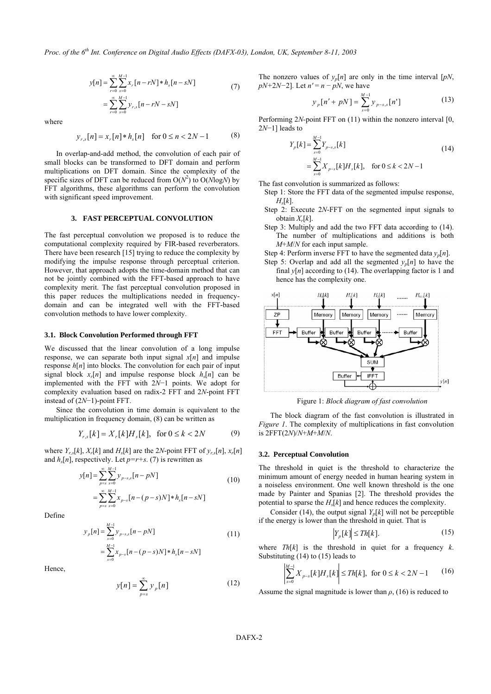*Proc. of the 6th Int. Conference on Digital Audio Effects (DAFX-03), London, UK, September 8-11, 2003* 

$$
y[n] = \sum_{r=0}^{\infty} \sum_{s=0}^{M-1} x_r [n - rN] * h_s [n - sN]
$$
  
= 
$$
\sum_{r=0}^{\infty} \sum_{s=0}^{M-1} y_{r,s} [n - rN - sN]
$$
 (7)

where

$$
y_{r,s}[n] = x_r[n] * h_s[n] \quad \text{for } 0 \le n < 2N - 1 \tag{8}
$$

In overlap-and-add method, the convolution of each pair of small blocks can be transformed to DFT domain and perform multiplications on DFT domain. Since the complexity of the specific sizes of DFT can be reduced from  $O(N^2)$  to  $O(N \log N)$  by FFT algorithms, these algorithms can perform the convolution with significant speed improvement.

#### **3. FAST PERCEPTUAL CONVOLUTION**

The fast perceptual convolution we proposed is to reduce the computational complexity required by FIR-based reverberators. There have been research [15] trying to reduce the complexity by modifying the impulse response through perceptual criterion. However, that approach adopts the time-domain method that can not be jointly combined with the FFT-based approach to have complexity merit. The fast perceptual convolution proposed in this paper reduces the multiplications needed in frequencydomain and can be integrated well with the FFT-based convolution methods to have lower complexity.

#### **3.1. Block Convolution Performed through FFT**

We discussed that the linear convolution of a long impulse response, we can separate both input signal  $x[n]$  and impulse response  $h[n]$  into blocks. The convolution for each pair of input signal block  $x_r[n]$  and impulse response block  $h_s[n]$  can be implemented with the FFT with 2*N*−1 points. We adopt for complexity evaluation based on radix-2 FFT and 2*N*-point FFT instead of (2*N*−1)-point FFT.

Since the convolution in time domain is equivalent to the multiplication in frequency domain, (8) can be written as

$$
Y_{r,s}[k] = X_r[k]H_s[k], \text{ for } 0 \le k < 2N \tag{9}
$$

where  $Y_r$ <sub>s</sub> $[k]$ ,  $X_r[k]$  and  $H_s[k]$  are the 2*N*-point FFT of  $y_r$ <sub>s</sub> $[n]$ ,  $x_r[n]$ and  $h_s[n]$ , respectively. Let  $p=r+s$ . (7) is rewritten as

$$
y[n] = \sum_{p=s}^{\infty} \sum_{s=0}^{M-1} y_{p-s,s} [n - pN]
$$
  
= 
$$
\sum_{p=s}^{\infty} \sum_{s=0}^{M-1} x_{p-s} [n - (p-s)N] * h_s [n - sN]
$$
 (10)

Define

$$
y_p[n] = \sum_{s=0}^{M-1} y_{p-s,s}[n-pN]
$$
  
= 
$$
\sum_{s=0}^{M-1} x_{p-s}[n-(p-s)N]*h_s[n-sN]
$$
 (11)

Hence,

$$
y[n] = \sum_{p=s}^{\infty} y_p[n] \tag{12}
$$

The nonzero values of  $y_p[n]$  are only in the time interval  $[pN,$ *pN*+2*N*−2]. Let *n'* = *n* − *pN*, we have

$$
y_p[n' + pN] = \sum_{s=0}^{M-1} y_{p-s,s}[n'] \tag{13}
$$

Performing 2*N-*point FFT on (11) within the nonzero interval [0, 2*N*−1] leads to

$$
Y_p[k] = \sum_{s=0}^{M-1} Y_{p-s,s}[k]
$$
  
= 
$$
\sum_{s=0}^{M-1} X_{p-s}[k]H_s[k], \text{ for } 0 \le k < 2N-1
$$
 (14)

The fast convolution is summarized as follows:

- Step 1: Store the FFT data of the segmented impulse response,  $H_s[k]$ .
- Step 2: Execute 2*N*-FFT on the segmented input signals to obtain *Xr*[*k*].
- Step 3: Multiply and add the two FFT data according to (14). The number of multiplications and additions is both *M*+*M*/*N* for each input sample.
- Step 4: Perform inverse FFT to have the segmented data  $y_p[n]$ .
- Step 5: Overlap and add all the segmented  $y_p[n]$  to have the final  $y[n]$  according to (14). The overlapping factor is 1 and hence has the complexity one.



Figure 1: *Block diagram of fast convolution*

The block diagram of the fast convolution is illustrated in *Figure 1*. The complexity of multiplications in fast convolution is 2FFT(2*N*)/*N*+*M*+*M*/*N*.

### **3.2. Perceptual Convolution**

The threshold in quiet is the threshold to characterize the minimum amount of energy needed in human hearing system in a noiseless environment. One well known threshold is the one made by Painter and Spanias [2]. The threshold provides the potential to sparse the  $H_s[k]$  and hence reduces the complexity.

Consider (14), the output signal  $Y_p[k]$  will not be perceptible if the energy is lower than the threshold in quiet. That is

$$
Y_p[k] \le Th[k]. \tag{15}
$$

where *Th*[*k*] is the threshold in quiet for a frequency *k*. Substituting (14) to (15) leads to

$$
\sum_{s=0}^{M-1} X_{p-s}[k]H_s[k] \le Th[k], \text{ for } 0 \le k < 2N - 1 \qquad (16)
$$

Assume the signal magnitude is lower than *ρ*, (16) is reduced to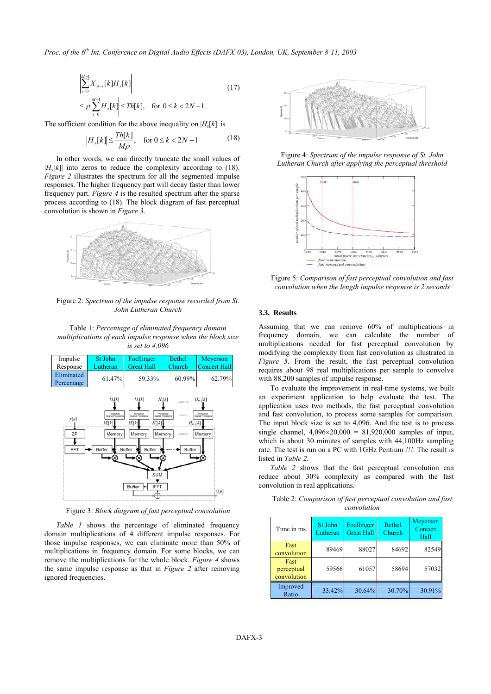$$
\left| \sum_{s=0}^{M-1} X_{p-s}[k] H_s[k] \right|
$$
\n
$$
\leq \rho \left| \sum_{s=0}^{M-1} H_s[k] \right| \leq Th[k], \text{ for } 0 \leq k < 2N-1
$$
\n
$$
(17)
$$

The sufficient condition for the above inequality on  $|H_s[k]|$  is

$$
|H_s[k]| \le \frac{Th[k]}{M\rho}, \quad \text{for } 0 \le k < 2N - 1 \tag{18}
$$

In other words, we can directly truncate the small values of  $|H_s[k]|$  into zeros to reduce the complexity according to (18). *Figure 2* illustrates the spectrum for all the segmented impulse responses. The higher frequency part will decay faster than lower frequency part. *Figure 4* is the resulted spectrum after the sparse process according to (18). The block diagram of fast perceptual convolution is shown in *Figure 3*.



Figure 2: *Spectrum of the impulse response recorded from St. John Lutheran Church*

Table 1: *Percentage of eliminated frequency domain multiplications of each impulse response when the block size is set to 4,096*

| Impulse                  | St John                                                                            | Foellinger                                                                                                                     | <b>Bethel</b>                                                                                        | Meyerson                                                         |
|--------------------------|------------------------------------------------------------------------------------|--------------------------------------------------------------------------------------------------------------------------------|------------------------------------------------------------------------------------------------------|------------------------------------------------------------------|
| Response                 | Lutheran                                                                           | <b>Great Hall</b>                                                                                                              | Church                                                                                               | <b>Concert Hall</b>                                              |
| Eliminated<br>Percentage | 61.47%                                                                             | 59.33%                                                                                                                         | 60.99%                                                                                               | 62.79%                                                           |
| x[n]<br>ZP<br>FFT        | $H_{\alpha}[k]$<br>Perceptual<br>Sparse Processing<br>$H_0[k]$<br>Memory<br>Buffer | $H_1[k]$<br>Perceptual<br>Sparse Processing<br>$H_2[k]$<br>H'[k]<br>Memory<br>Buffer<br>Buffer<br>SUM<br>Buffer<br><b>IFFT</b> | $H_2[k]$<br><br>Perceptual<br>Sparse Processing<br><br>$H'_{M,1}[k]$<br>Memory<br>********<br>Buffer | $H_{ML}[k]$<br>Perceptual<br>Sparse Processing<br>Memory<br>y[n] |

Figure 3: *Block diagram of fast perceptual convolution*

*Table 1* shows the percentage of eliminated frequency domain multiplications of 4 different impulse responses. For those impulse responses, we can eliminate more than 50% of multiplications in frequency domain. For some blocks, we can remove the multiplications for the whole block. *Figure 4* shows the same impulse response as that in *Figure 2* after removing ignored frequencies.



Figure 4: *Spectrum of the impulse response of St. John Lutheran Church after applying the perceptual threshold* 



Figure 5: *Comparison of fast perceptual convolution and fast convolution when the length impulse response is 2 seconds*

## **3.3. Results**

Assuming that we can remove 60% of multiplications in frequency domain, we can calculate the number of multiplications needed for fast perceptual convolution by modifying the complexity from fast convolution as illustrated in *Figure 5*. From the result, the fast perceptual convolution requires about 98 real multiplications per sample to convolve with 88,200 samples of impulse response.

To evaluate the improvement in real-time systems, we built an experiment application to help evaluate the test. The application uses two methods, the fast perceptual convolution and fast convolution, to process some samples for comparison. The input block size is set to 4,096. And the test is to process single channel,  $4,096 \times 20,000 = 81,920,000$  samples of input, which is about 30 minutes of samples with 44,100Hz sampling rate. The test is run on a PC with 1GHz Pentium *!!!*. The result is listed in *Table 2*.

*Table 2* shows that the fast perceptual convolution can reduce about 30% complexity as compared with the fast convolution in real applications.

| Time in ms                        | St John<br>Lutheran | Foellinger<br><b>Great Hall</b> | <b>Bethel</b><br>Church | Meyerson<br>Concert<br>Hall |
|-----------------------------------|---------------------|---------------------------------|-------------------------|-----------------------------|
| Fast<br>convolution               | 89469               | 88027                           | 84692                   | 82549                       |
| Fast<br>perceptual<br>convolution | 59566               | 61057                           | 58694                   | 57032                       |
| Improved<br>Ratio                 | 33.42%              | 30.64%                          | 30.70%                  | 30.91%                      |

Table 2: *Comparison of fast perceptual convolution and fast convolution*